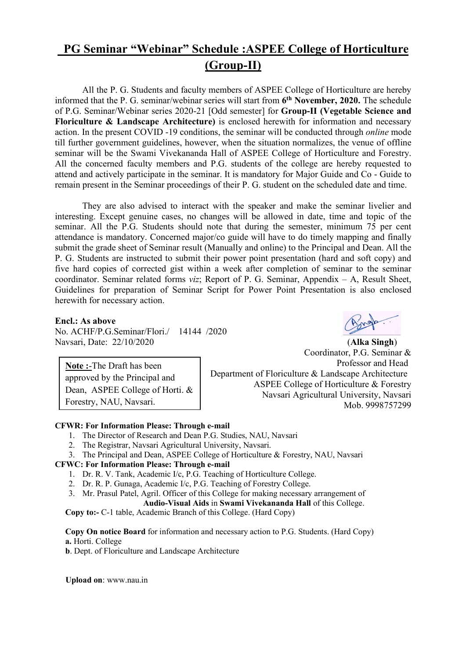# PG Seminar "Webinar" Schedule :ASPEE College of Horticulture (Group-II)

 All the P. G. Students and faculty members of ASPEE College of Horticulture are hereby informed that the P. G. seminar/webinar series will start from 6<sup>th</sup> November, 2020. The schedule of P.G. Seminar/Webinar series 2020-21 [Odd semester] for Group-II (Vegetable Science and Floriculture & Landscape Architecture) is enclosed herewith for information and necessary action. In the present COVID -19 conditions, the seminar will be conducted through online mode till further government guidelines, however, when the situation normalizes, the venue of offline seminar will be the Swami Vivekananda Hall of ASPEE College of Horticulture and Forestry. All the concerned faculty members and P.G. students of the college are hereby requested to attend and actively participate in the seminar. It is mandatory for Major Guide and Co - Guide to remain present in the Seminar proceedings of their P. G. student on the scheduled date and time.

 They are also advised to interact with the speaker and make the seminar livelier and interesting. Except genuine cases, no changes will be allowed in date, time and topic of the seminar. All the P.G. Students should note that during the semester, minimum 75 per cent attendance is mandatory. Concerned major/co guide will have to do timely mapping and finally submit the grade sheet of Seminar result (Manually and online) to the Principal and Dean. All the P. G. Students are instructed to submit their power point presentation (hard and soft copy) and five hard copies of corrected gist within a week after completion of seminar to the seminar coordinator. Seminar related forms *viz*; Report of P. G. Seminar, Appendix  $- A$ , Result Sheet, Guidelines for preparation of Seminar Script for Power Point Presentation is also enclosed herewith for necessary action.

#### Encl.: As above

No. ACHF/P.G.Seminar/Flori./ 14144 /2020 Navsari, Date: 22/10/2020 (Alka Singh)

Note :-The Draft has been approved by the Principal and Dean, ASPEE College of Horti. &

Forestry, NAU, Navsari.



Coordinator, P.G. Seminar & Professor and Head Department of Floriculture & Landscape Architecture ASPEE College of Horticulture & Forestry Navsari Agricultural University, Navsari Mob. 9998757299

#### CFWR: For Information Please: Through e-mail

- 1. The Director of Research and Dean P.G. Studies, NAU, Navsari
- 2. The Registrar, Navsari Agricultural University, Navsari.
- 3. The Principal and Dean, ASPEE College of Horticulture & Forestry, NAU, Navsari

#### CFWC: For Information Please: Through e-mail

- 1. Dr. R. V. Tank, Academic I/c, P.G. Teaching of Horticulture College.
- 2. Dr. R. P. Gunaga, Academic I/c, P.G. Teaching of Forestry College.
- 3. Mr. Prasul Patel, Agril. Officer of this College for making necessary arrangement of

Audio-Visual Aids in Swami Vivekananda Hall of this College.

Copy to:- C-1 table, Academic Branch of this College. (Hard Copy)

Copy On notice Board for information and necessary action to P.G. Students. (Hard Copy) a. Horti. College

b. Dept. of Floriculture and Landscape Architecture

Upload on: www.nau.in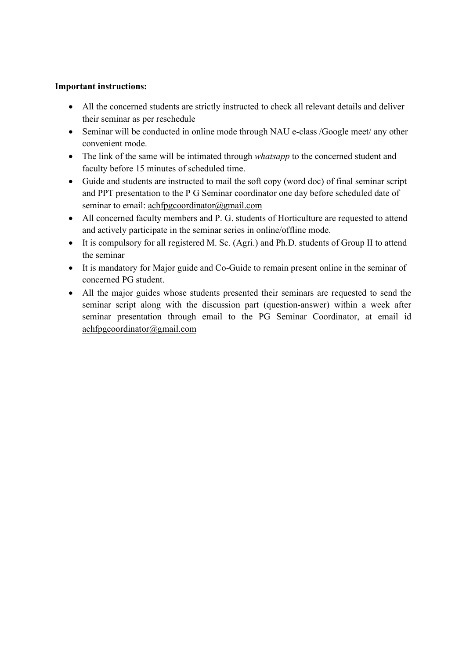#### Important instructions:

- All the concerned students are strictly instructed to check all relevant details and deliver their seminar as per reschedule
- Seminar will be conducted in online mode through NAU e-class /Google meet/ any other convenient mode.
- The link of the same will be intimated through *whatsapp* to the concerned student and faculty before 15 minutes of scheduled time.
- Guide and students are instructed to mail the soft copy (word doc) of final seminar script and PPT presentation to the P G Seminar coordinator one day before scheduled date of seminar to email: achfpgcoordinator@gmail.com
- All concerned faculty members and P. G. students of Horticulture are requested to attend and actively participate in the seminar series in online/offline mode.
- It is compulsory for all registered M. Sc. (Agri.) and Ph.D. students of Group II to attend the seminar
- It is mandatory for Major guide and Co-Guide to remain present online in the seminar of concerned PG student.
- All the major guides whose students presented their seminars are requested to send the seminar script along with the discussion part (question-answer) within a week after seminar presentation through email to the PG Seminar Coordinator, at email id achfpgcoordinator@gmail.com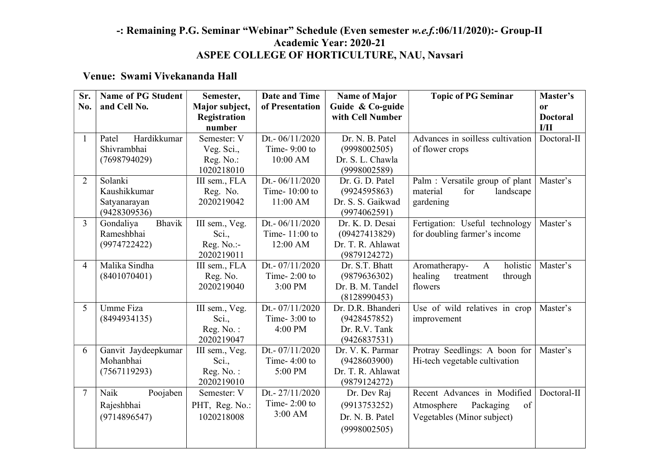## -: Remaining P.G. Seminar "Webinar" Schedule (Even semester w.e.f.:06/11/2020):- Group-II Academic Year: 2020-21 ASPEE COLLEGE OF HORTICULTURE, NAU, Navsari

### Venue: Swami Vivekananda Hall

| Sr.            | <b>Name of PG Student</b> | Semester,                   | <b>Date and Time</b> | <b>Name of Major</b>            | <b>Topic of PG Seminar</b>                                      | Master's        |
|----------------|---------------------------|-----------------------------|----------------------|---------------------------------|-----------------------------------------------------------------|-----------------|
| No.            | and Cell No.              | Major subject,              | of Presentation      | Guide & Co-guide                |                                                                 | <b>or</b>       |
|                |                           | Registration                |                      | with Cell Number                |                                                                 | <b>Doctoral</b> |
|                |                           | number                      |                      |                                 |                                                                 | I/II            |
| $\mathbf{1}$   | Hardikkumar<br>Patel      | Semester: V                 | Dt.- 06/11/2020      | Dr. N. B. Patel                 | Advances in soilless cultivation                                | Doctoral-II     |
|                | Shivrambhai               | Veg. Sci.,                  | Time- $9:00$ to      | (9998002505)                    | of flower crops                                                 |                 |
|                | (7698794029)              | Reg. No.:                   | 10:00 AM             | Dr. S. L. Chawla                |                                                                 |                 |
| 2              | Solanki                   | 1020218010<br>III sem., FLA | Dt.-06/11/2020       | (9998002589)<br>Dr. G. D. Patel |                                                                 | Master's        |
|                | Kaushikkumar              |                             | Time-10:00 to        | (9924595863)                    | Palm : Versatile group of plant<br>material<br>landscape<br>for |                 |
|                | Satyanarayan              | Reg. No.<br>2020219042      | 11:00 AM             | Dr. S. S. Gaikwad               | gardening                                                       |                 |
|                | (9428309536)              |                             |                      | (9974062591)                    |                                                                 |                 |
| $\overline{3}$ | Bhavik<br>Gondaliya       | III sem., Veg.              | Dt.- 06/11/2020      | Dr. K. D. Desai                 | Fertigation: Useful technology                                  | Master's        |
|                | Rameshbhai                | Sci.,                       | Time-11:00 to        | (09427413829)                   | for doubling farmer's income                                    |                 |
|                | (9974722422)              | Reg. No.:-                  | 12:00 AM             | Dr. T. R. Ahlawat               |                                                                 |                 |
|                |                           | 2020219011                  |                      | (9879124272)                    |                                                                 |                 |
| 4              | Malika Sindha             | III sem., FLA               | Dt.- 07/11/2020      | Dr. S.T. Bhatt                  | holistic<br>Aromatherapy-<br>$\mathbf{A}$                       | Master's        |
|                | (8401070401)              | Reg. No.                    | Time- $2:00$ to      | (9879636302)                    | healing<br>treatment<br>through                                 |                 |
|                |                           | 2020219040                  | 3:00 PM              | Dr. B. M. Tandel                | flowers                                                         |                 |
|                |                           |                             |                      | (8128990453)                    |                                                                 |                 |
| 5              | Umme Fiza                 | III sem., Veg.              | Dt. - $07/11/2020$   | Dr. D.R. Bhanderi               | Use of wild relatives in crop                                   | Master's        |
|                | (8494934135)              | Sci.,                       | Time- $3:00$ to      | (9428457852)                    | improvement                                                     |                 |
|                |                           | Reg. No.:                   | 4:00 PM              | Dr. R.V. Tank                   |                                                                 |                 |
|                |                           | 2020219047                  |                      | (9426837531)                    |                                                                 |                 |
| 6              | Ganvit Jaydeepkumar       | III sem., Veg.              | Dt.- 07/11/2020      | Dr. V. K. Parmar                | Protray Seedlings: A boon for                                   | Master's        |
|                | Mohanbhai                 | Sci.,                       | Time- $4:00$ to      | (9428603900)                    | Hi-tech vegetable cultivation                                   |                 |
|                | (7567119293)              | Reg. No.:                   | 5:00 PM              | Dr. T. R. Ahlawat               |                                                                 |                 |
| $\overline{7}$ | Naik                      | 2020219010<br>Semester: V   | Dt.-27/11/2020       | (9879124272)                    | Recent Advances in Modified                                     | Doctoral-II     |
|                | Poojaben                  |                             | Time- $2:00$ to      | Dr. Dev Raj                     |                                                                 |                 |
|                | Rajeshbhai                | PHT, Reg. No.:              | 3:00 AM              | (9913753252)                    | Atmosphere<br>Packaging<br>of                                   |                 |
|                | (9714896547)              | 1020218008                  |                      | Dr. N. B. Patel                 | Vegetables (Minor subject)                                      |                 |
|                |                           |                             |                      | (9998002505)                    |                                                                 |                 |
|                |                           |                             |                      |                                 |                                                                 |                 |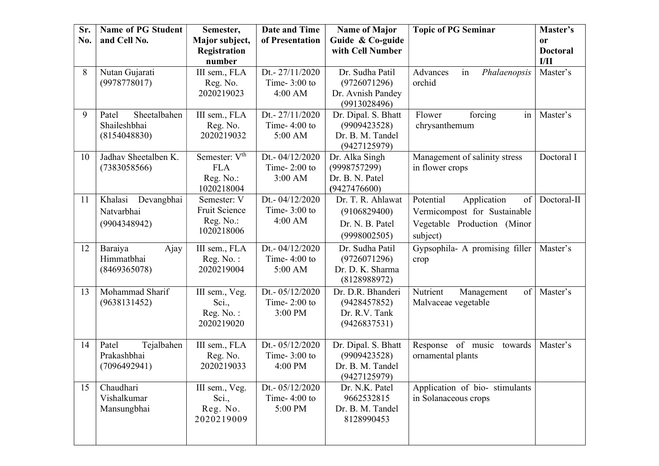| Sr.<br>No. | <b>Name of PG Student</b><br>and Cell No.             | Semester,<br>Major subject,<br>Registration<br>number              | Date and Time<br>of Presentation                | <b>Name of Major</b><br>Guide & Co-guide<br>with Cell Number            | <b>Topic of PG Seminar</b>                                                                                | Master's<br>or<br><b>Doctoral</b><br>I/II |
|------------|-------------------------------------------------------|--------------------------------------------------------------------|-------------------------------------------------|-------------------------------------------------------------------------|-----------------------------------------------------------------------------------------------------------|-------------------------------------------|
| 8          | Nutan Gujarati<br>(9978778017)                        | III sem., FLA<br>Reg. No.<br>2020219023                            | Dt.-27/11/2020<br>Time- $3:00$ to<br>4:00 AM    | Dr. Sudha Patil<br>(9726071296)<br>Dr. Avnish Pandey<br>(9913028496)    | in<br>Advances<br>Phalaenopsis<br>orchid                                                                  | Master's                                  |
| 9          | Sheetalbahen<br>Patel<br>Shaileshbhai<br>(8154048830) | III sem., FLA<br>Reg. No.<br>2020219032                            | Dt.-27/11/2020<br>Time- $4:00$ to<br>5:00 AM    | Dr. Dipal. S. Bhatt<br>(9909423528)<br>Dr. B. M. Tandel<br>(9427125979) | Flower<br>forcing<br>in<br>chrysanthemum                                                                  | Master's                                  |
| 10         | Jadhav Sheetalben K.<br>(7383058566)                  | Semester: V <sup>th</sup><br><b>FLA</b><br>Reg. No.:<br>1020218004 | Dt.- 04/12/2020<br>Time- $2:00$ to<br>$3:00$ AM | Dr. Alka Singh<br>(9998757299)<br>Dr. B. N. Patel<br>(9427476600)       | Management of salinity stress<br>in flower crops                                                          | Doctoral I                                |
| 11         | Khalasi<br>Devangbhai<br>Natvarbhai<br>(9904348942)   | Semester: V<br>Fruit Science<br>Reg. No.:<br>1020218006            | Dt.- 04/12/2020<br>Time- $3:00$ to<br>4:00 AM   | Dr. T. R. Ahlawat<br>(9106829400)<br>Dr. N. B. Patel<br>(9998002505)    | Potential<br>Application<br>of<br>Vermicompost for Sustainable<br>Vegetable Production (Minor<br>subject) | Doctoral-II                               |
| 12         | Baraiya<br>Ajay<br>Himmatbhai<br>(8469365078)         | III sem., FLA<br>Reg. No.:<br>2020219004                           | Dt.- 04/12/2020<br>Time- $4:00$ to<br>5:00 AM   | Dr. Sudha Patil<br>(9726071296)<br>Dr. D. K. Sharma<br>(8128988972)     | Gypsophila- A promising filler<br>crop                                                                    | Master's                                  |
| 13         | Mohammad Sharif<br>(9638131452)                       | III sem., Veg.<br>Sci.,<br>Reg. No.:<br>2020219020                 | Dt.- 05/12/2020<br>Time- $2:00$ to<br>3:00 PM   | Dr. D.R. Bhanderi<br>(9428457852)<br>Dr. R.V. Tank<br>(9426837531)      | Nutrient<br>$\vert$ of $\vert$<br>Management<br>Malvaceae vegetable                                       | Master's                                  |
| 14         | Tejalbahen<br>Patel<br>Prakashbhai<br>(7096492941)    | III sem., FLA<br>Reg. No.<br>2020219033                            | Dt.- 05/12/2020<br>Time- $3:00$ to<br>4:00 PM   | Dr. Dipal. S. Bhatt<br>(9909423528)<br>Dr. B. M. Tandel<br>(9427125979) | Response of music<br>towards<br>ornamental plants                                                         | Master's                                  |
| 15         | Chaudhari<br>Vishalkumar<br>Mansungbhai               | III sem., Veg.<br>Sci.,<br>Reg. No.<br>2020219009                  | Dt.- 05/12/2020<br>Time- $4:00$ to<br>5:00 PM   | Dr. N.K. Patel<br>9662532815<br>Dr. B. M. Tandel<br>8128990453          | Application of bio-stimulants<br>in Solanaceous crops                                                     |                                           |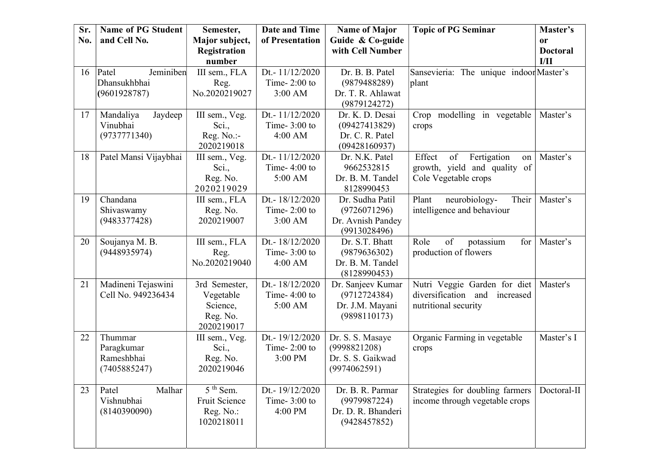| Sr. | <b>Name of PG Student</b> | Semester,              | <b>Date and Time</b>              | <b>Name of Major</b>                 | <b>Topic of PG Seminar</b>                           | Master's                |
|-----|---------------------------|------------------------|-----------------------------------|--------------------------------------|------------------------------------------------------|-------------------------|
| No. | and Cell No.              | Major subject,         | of Presentation                   | Guide & Co-guide<br>with Cell Number |                                                      | or                      |
|     |                           | Registration<br>number |                                   |                                      |                                                      | <b>Doctoral</b><br>I/II |
| 16  | Jeminiben<br>Patel        | III sem., FLA          | Dt.-11/12/2020                    | Dr. B. B. Patel                      | Sansevieria: The unique indoor Master's              |                         |
|     | Dhansukhbhai              | Reg.                   | Time- $2:00$ to                   | (9879488289)                         | plant                                                |                         |
|     | (9601928787)              | No.2020219027          | 3:00 AM                           | Dr. T. R. Ahlawat                    |                                                      |                         |
|     |                           |                        |                                   | (9879124272)                         |                                                      |                         |
| 17  | Mandaliya<br>Jaydeep      | III sem., Veg.         | Dt.-11/12/2020                    | Dr. K. D. Desai                      | Crop modelling in vegetable                          | Master's                |
|     | Vinubhai                  | Sci.,                  | Time- $3:00$ to                   | (09427413829)                        | crops                                                |                         |
|     | (9737771340)              | Reg. No.:-             | 4:00 AM                           | Dr. C. R. Patel                      |                                                      |                         |
|     |                           | 2020219018             |                                   | (09428160937)                        |                                                      |                         |
| 18  | Patel Mansi Vijaybhai     | III sem., Veg.         | Dt.-11/12/2020<br>Time- $4:00$ to | Dr. N.K. Patel                       | Effect<br>of<br>Fertigation<br>on                    | Master's                |
|     |                           | Sci.,<br>Reg. No.      | 5:00 AM                           | 9662532815<br>Dr. B. M. Tandel       | growth, yield and quality of<br>Cole Vegetable crops |                         |
|     |                           | 2020219029             |                                   | 8128990453                           |                                                      |                         |
| 19  | Chandana                  | III sem., FLA          | Dt.- 18/12/2020                   | Dr. Sudha Patil                      | Their<br>Plant<br>neurobiology-                      | Master's                |
|     | Shivaswamy                | Reg. No.               | Time- $2:00$ to                   | (9726071296)                         | intelligence and behaviour                           |                         |
|     | (9483377428)              | 2020219007             | $3:00$ AM                         | Dr. Avnish Pandey                    |                                                      |                         |
|     |                           |                        |                                   | (9913028496)                         |                                                      |                         |
| 20  | Soujanya M. B.            | III sem., FLA          | Dt.- 18/12/2020                   | Dr. S.T. Bhatt                       | of<br>potassium<br>Role<br>for                       | Master's                |
|     | (9448935974)              | Reg.                   | Time- $3:00$ to                   | (9879636302)                         | production of flowers                                |                         |
|     |                           | No.2020219040          | $4:00$ AM                         | Dr. B. M. Tandel                     |                                                      |                         |
| 21  | Madineni Tejaswini        | 3rd Semester,          | Dt.- 18/12/2020                   | (8128990453)<br>Dr. Sanjeev Kumar    | Nutri Veggie Garden for diet                         | Master's                |
|     | Cell No. 949236434        | Vegetable              | Time- $4:00$ to                   | (9712724384)                         | diversification and increased                        |                         |
|     |                           | Science,               | 5:00 AM                           | Dr. J.M. Mayani                      | nutritional security                                 |                         |
|     |                           | Reg. No.               |                                   | (9898110173)                         |                                                      |                         |
|     |                           | 2020219017             |                                   |                                      |                                                      |                         |
| 22  | Thummar                   | III sem., Veg.         | Dt.-19/12/2020                    | Dr. S. S. Masaye                     | Organic Farming in vegetable                         | Master's I              |
|     | Paragkumar                | Sci.,                  | Time- $2:00$ to                   | (9998821208)                         | crops                                                |                         |
|     | Rameshbhai                | Reg. No.               | 3:00 PM                           | Dr. S. S. Gaikwad                    |                                                      |                         |
|     | (7405885247)              | 2020219046             |                                   | (9974062591)                         |                                                      |                         |
| 23  | Malhar<br>Patel           | $5th$ Sem.             | Dt.-19/12/2020                    | Dr. B. R. Parmar                     | Strategies for doubling farmers                      | Doctoral-II             |
|     | Vishnubhai                | Fruit Science          | Time- $3:00$ to                   | (9979987224)                         | income through vegetable crops                       |                         |
|     | (8140390090)              | Reg. No.:              | 4:00 PM                           | Dr. D. R. Bhanderi                   |                                                      |                         |
|     |                           | 1020218011             |                                   | (9428457852)                         |                                                      |                         |
|     |                           |                        |                                   |                                      |                                                      |                         |
|     |                           |                        |                                   |                                      |                                                      |                         |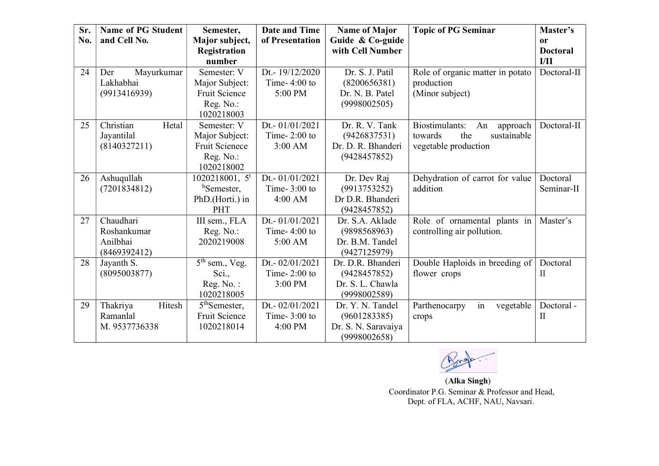| Sr.<br>No. | <b>Name of PG Student</b><br>and Cell No.            | Semester,<br>Major subject,                                                       | <b>Date and Time</b><br>of Presentation         | <b>Name of Major</b><br>Guide & Co-guide                                | <b>Topic of PG Seminar</b>                                                                | Master's<br><sub>or</sub> |
|------------|------------------------------------------------------|-----------------------------------------------------------------------------------|-------------------------------------------------|-------------------------------------------------------------------------|-------------------------------------------------------------------------------------------|---------------------------|
|            |                                                      | Registration<br>number                                                            |                                                 | with Cell Number                                                        |                                                                                           | <b>Doctoral</b><br>I/II   |
| 24         | Mayurkumar<br>Der<br>Lakhabhai<br>(9913416939)       | Semester: V<br>Major Subject:<br>Fruit Science<br>Reg. No.:<br>1020218003         | Dt.-19/12/2020<br>Time- $4:00$ to<br>5:00 PM    | Dr. S. J. Patil<br>(8200656381)<br>Dr. N. B. Patel<br>(9998002505)      | Role of organic matter in potato<br>production<br>(Minor subject)                         | Doctoral-II               |
| 25         | Christian<br>Hetal<br>Jayantilal<br>(8140327211)     | Semester: V<br>Major Subject:<br><b>Fruit Scienece</b><br>Reg. No.:<br>1020218002 | Dt.- 01/01/2021<br>Time- $2:00$ to<br>$3:00$ AM | Dr. R. V. Tank<br>(9426837531)<br>Dr. D. R. Bhanderi<br>(9428457852)    | Biostimulants:<br>An<br>approach<br>towards<br>the<br>sustainable<br>vegetable production | Doctoral-II               |
| 26         | Ashuqullah<br>(7201834812)                           | 1020218001, 5 <sup>t</sup><br>hSemester,<br>PhD.(Horti.) in<br>PHT                | Dt.- 01/01/2021<br>Time- $3:00$ to<br>4:00 AM   | Dr. Dev Raj<br>(9913753252)<br>Dr D.R. Bhanderi<br>(9428457852)         | Dehydration of carrot for value<br>addition                                               | Doctoral<br>Seminar-II    |
| 27         | Chaudhari<br>Roshankumar<br>Anilbhai<br>(8469392412) | III sem., FLA<br>Reg. No.:<br>2020219008                                          | Dt.- 01/01/2021<br>Time- $4:00$ to<br>5:00 AM   | Dr. S.A. Aklade<br>(9898568963)<br>Dr. B.M. Tandel<br>(9427125979)      | Role of ornamental plants in<br>controlling air pollution.                                | Master's                  |
| 28         | Jayanth S.<br>(8095003877)                           | $5th$ sem., Veg.<br>Sci.,<br>Reg. No.:<br>1020218005                              | Dt.- 02/01/2021<br>Time- $2:00$ to<br>3:00 PM   | Dr. D.R. Bhanderi<br>(9428457852)<br>Dr. S. L. Chawla<br>(9998002589)   | Double Haploids in breeding of<br>flower crops                                            | Doctoral<br>П             |
| 29         | Thakriya<br>Hitesh<br>Ramanlal<br>M. 9537736338      | 5 <sup>th</sup> Semester,<br>Fruit Science<br>1020218014                          | Dt.- 02/01/2021<br>Time- $3:00$ to<br>4:00 PM   | Dr. Y. N. Tandel<br>(9601283385)<br>Dr. S. N. Saravaiya<br>(9998002658) | in<br>Parthenocarpy<br>vegetable<br>crops                                                 | Doctoral-<br>П            |

Arrop

 (Alka Singh) Coordinator P.G. Seminar & Professor and Head, Dept. of FLA, ACHF, NAU, Navsari.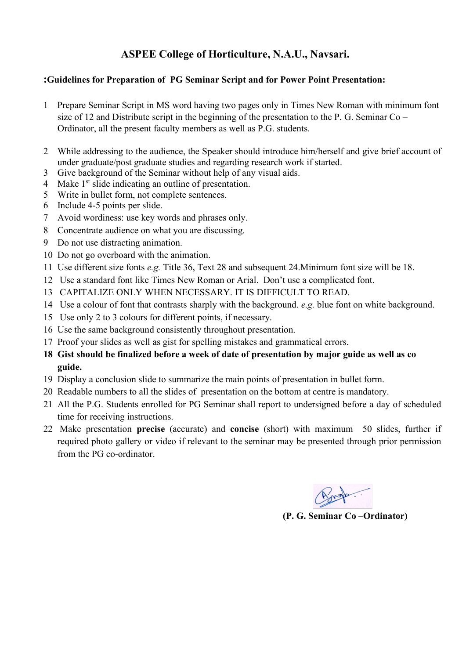## ASPEE College of Horticulture, N.A.U., Navsari.

### :Guidelines for Preparation of PG Seminar Script and for Power Point Presentation:

- 1 Prepare Seminar Script in MS word having two pages only in Times New Roman with minimum font size of 12 and Distribute script in the beginning of the presentation to the P. G. Seminar Co – Ordinator, all the present faculty members as well as P.G. students.
- 2 While addressing to the audience, the Speaker should introduce him/herself and give brief account of under graduate/post graduate studies and regarding research work if started.
- 3 Give background of the Seminar without help of any visual aids.
- 4 Make  $1<sup>st</sup>$  slide indicating an outline of presentation.
- 5 Write in bullet form, not complete sentences.
- 6 Include 4-5 points per slide.
- 7 Avoid wordiness: use key words and phrases only.
- 8 Concentrate audience on what you are discussing.
- 9 Do not use distracting animation.
- 10 Do not go overboard with the animation.
- 11 Use different size fonts e.g. Title 36, Text 28 and subsequent 24.Minimum font size will be 18.
- 12 Use a standard font like Times New Roman or Arial. Don't use a complicated font.
- 13 CAPITALIZE ONLY WHEN NECESSARY. IT IS DIFFICULT TO READ.
- 14 Use a colour of font that contrasts sharply with the background. e.g. blue font on white background.
- 15 Use only 2 to 3 colours for different points, if necessary.
- 16 Use the same background consistently throughout presentation.
- 17 Proof your slides as well as gist for spelling mistakes and grammatical errors.
- 18 Gist should be finalized before a week of date of presentation by major guide as well as co guide.
- 19 Display a conclusion slide to summarize the main points of presentation in bullet form.
- 20 Readable numbers to all the slides of presentation on the bottom at centre is mandatory.
- 21 All the P.G. Students enrolled for PG Seminar shall report to undersigned before a day of scheduled time for receiving instructions.
- 22 Make presentation precise (accurate) and concise (short) with maximum 50 slides, further if required photo gallery or video if relevant to the seminar may be presented through prior permission from the PG co-ordinator.

(P. G. Seminar Co –Ordinator)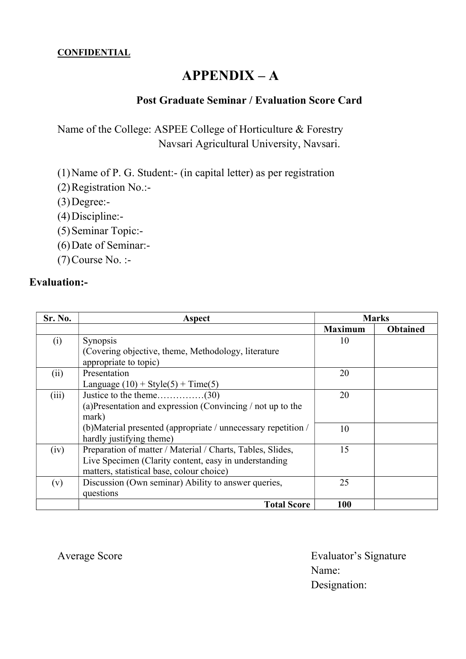### **CONFIDENTIAL**

# $APPENDIX - A$

## Post Graduate Seminar / Evaluation Score Card

Name of the College: ASPEE College of Horticulture & Forestry Navsari Agricultural University, Navsari.

(1)Name of P. G. Student:- (in capital letter) as per registration

- (2)Registration No.:-
- $(3)$ Degree:-
- (4)Discipline:-
- (5)Seminar Topic:-
- (6)Date of Seminar:-
- (7)Course No. :-

## Evaluation:-

| Sr. No. | Aspect                                                        | <b>Marks</b>   |                 |  |
|---------|---------------------------------------------------------------|----------------|-----------------|--|
|         |                                                               | <b>Maximum</b> | <b>Obtained</b> |  |
| (i)     | <b>Synopsis</b>                                               | 10             |                 |  |
|         | (Covering objective, theme, Methodology, literature)          |                |                 |  |
|         | appropriate to topic)                                         |                |                 |  |
| (ii)    | Presentation                                                  | 20             |                 |  |
|         | Language $(10) + \text{Style}(5) + \text{Time}(5)$            |                |                 |  |
| (iii)   |                                                               | 20             |                 |  |
|         | (a) Presentation and expression (Convincing $/$ not up to the |                |                 |  |
|         | mark)                                                         |                |                 |  |
|         | (b)Material presented (appropriate / unnecessary repetition / | 10             |                 |  |
|         | hardly justifying theme)                                      |                |                 |  |
| (iv)    | Preparation of matter / Material / Charts, Tables, Slides,    | 15             |                 |  |
|         | Live Specimen (Clarity content, easy in understanding         |                |                 |  |
|         | matters, statistical base, colour choice)                     |                |                 |  |
| (v)     | Discussion (Own seminar) Ability to answer queries,           | 25             |                 |  |
|         | questions                                                     |                |                 |  |
|         | <b>Total Score</b>                                            | 100            |                 |  |

Average Score **Evaluator's Signature**  Name: Designation: